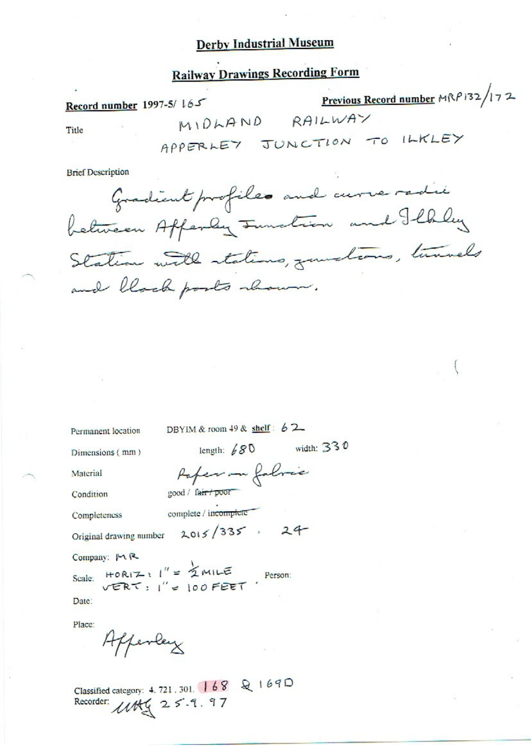# **Railway Drawings Recording Form**

| Record number 1997-5/ $165$ |  |                             | Previous Record number $M\mathbb{R}P$ 132/172 |  |  |  |
|-----------------------------|--|-----------------------------|-----------------------------------------------|--|--|--|
| Title                       |  | $M10h$ AND                  | RAILWAY                                       |  |  |  |
|                             |  | APPERLEY JUNCTION TO ILKLEY |                                               |  |  |  |

**Brief Description** 

Gradient profiles and curve radii between Affenly Function and Ilhley Station with stations, junctions, tunnels and block posts abour.

Permanent location

DBYIM & room 49 & shelf:  $62$ 

Dimensions (mm)

length:  $680$  width: 330

Material

Paper on followie good / fair / poor

Condition

Completeness

complete / incomplete

Original drawing number 2015/335, 24

Company: MR

Date:

Place:

Afferley

Classified category: 4, 721, 301, 168 & 1690 Recorder: 1145 25.9.97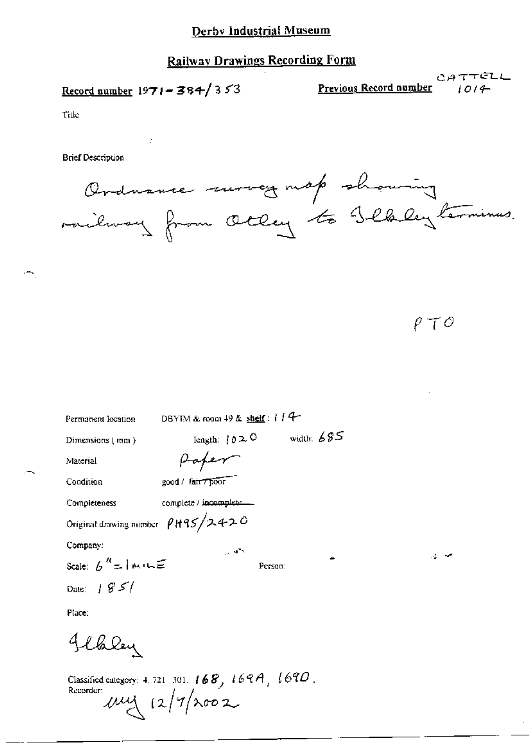# **Railway Drawings Recording Form**

Record number  $1971 - 384/353$ 

 $\cdot$ 

CATTELL او CATTELL<br>۱۵۱4 - Previous Record number

Title

**Brief Description** 

Ordnance morey map showing<br>railway from Otley to Slbley termines.

 $\rho \top \phi$ 

| Permanent location | DBYIM & room $49$ & shelf: $114$        |
|--------------------|-----------------------------------------|
| Dimensions (mm)    | width: $685$<br>length: $0 \ge 0$       |
| Material           | Paper                                   |
| Condition          | good / fair 7 poor                      |
| Completeness       | complete / incomplete                   |
|                    | Original drawing number $\rho$ H95/2420 |
| Company:           | وحمال                                   |
|                    | Person:                                 |
| Date: $1851$       |                                         |
| Place.             |                                         |
| Jebley             |                                         |
|                    |                                         |

Classified category: 4.721-301.  $168$ ,  $169A$ ,  $169O$ . Recorder:  $\mu$  $\mu$   $(2/7)\times 002$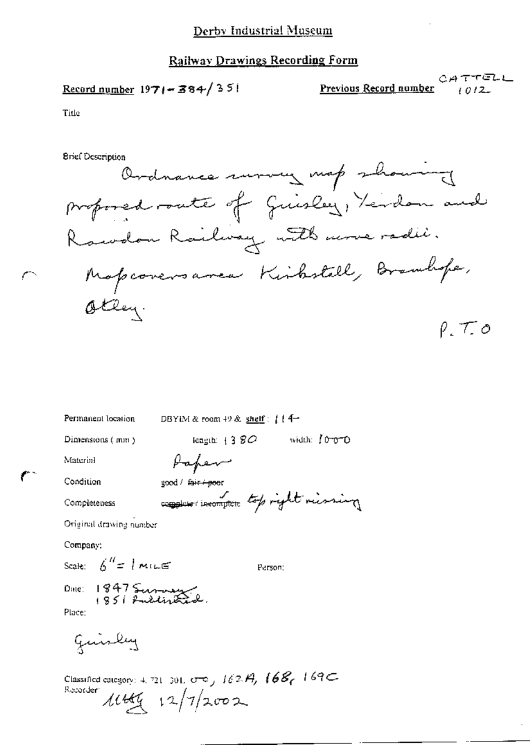### Railway Drawings Recording Form

 $\frac{\text{Record number}}{1971 - 384}$  351

**Previous Record number** (*0.12* Previous Record number

Title

**Brief Description** 

Ordnance wrong map showing proposed route of Guislay, Yerdon and Rawdon Railway with more radii. Mapcoversarea Kirbstell, Branchope, Otley.  $\rho$ ,  $\tau$ ,  $o$ 

| Permanent location                     | DBYIM & room $49$ & shelf: $114-$          |  |  |  |  |
|----------------------------------------|--------------------------------------------|--|--|--|--|
| Dimensions (mm)                        | width: 1000<br>iengībi $+3$ $\mathcal{SO}$ |  |  |  |  |
| Material                               | Paper                                      |  |  |  |  |
| Condition                              | good / fair + poor                         |  |  |  |  |
| Completeness                           | complete incomplete top right riving       |  |  |  |  |
| Original drawing number                |                                            |  |  |  |  |
| Company:                               |                                            |  |  |  |  |
| Scale: $\int_0^{H}$ = 1 Million        | Person:                                    |  |  |  |  |
| Date: $18475$<br>$18511$ militarities. |                                            |  |  |  |  |
| Place:                                 |                                            |  |  |  |  |

guirley

Classified category: 4, 721, 301,  $\sigma$  e  $_1$  162. $H_1$  168 $_1$  169 $\subset$ Recorder  $11449 + 12/7/2002$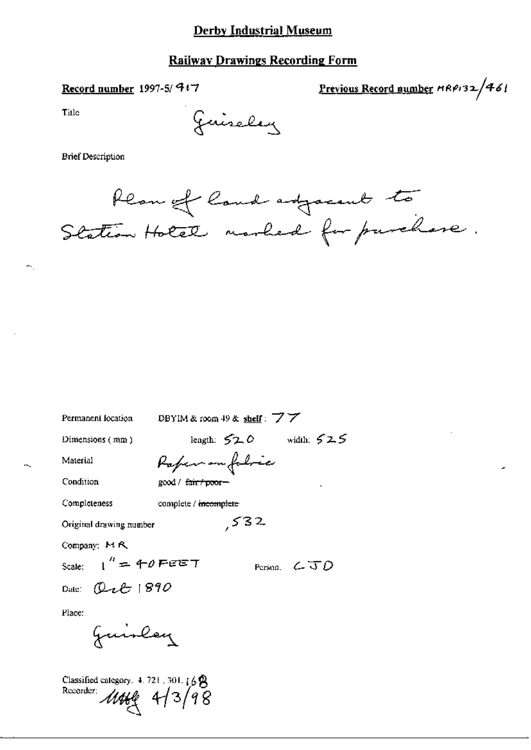## **Railway Drawings Recording Form**

## Record number 1997-5/ 4+7

Previous Record number HRP132/461

Title

÷.

Juiseley

**Brief Description** 

Ream of land adjacent to Station Hotel marked for purchase.

| Permanent location                                           | DBYIM & room 49 & shelf: $\vec{7}$ $\vec{7}$ |  |  |  |  |  |
|--------------------------------------------------------------|----------------------------------------------|--|--|--|--|--|
| Dimensions $(mn)$                                            | length: $520$ width: $525$                   |  |  |  |  |  |
| Material                                                     | Rafer on foloce                              |  |  |  |  |  |
| Condition                                                    | good / <del>fair / poor –</del>              |  |  |  |  |  |
| Completeness                                                 | complete / incomplete                        |  |  |  |  |  |
| 532<br>Original drawing number                               |                                              |  |  |  |  |  |
| Company: MR                                                  |                                              |  |  |  |  |  |
| Scale: $1'' = 40$ Feety<br>Person. $\mathcal{L} \mathcal{D}$ |                                              |  |  |  |  |  |
| Date: $Q$ ult 1890                                           |                                              |  |  |  |  |  |
| Place:                                                       |                                              |  |  |  |  |  |
| Juinley                                                      |                                              |  |  |  |  |  |

Classified category. 4.721.301.168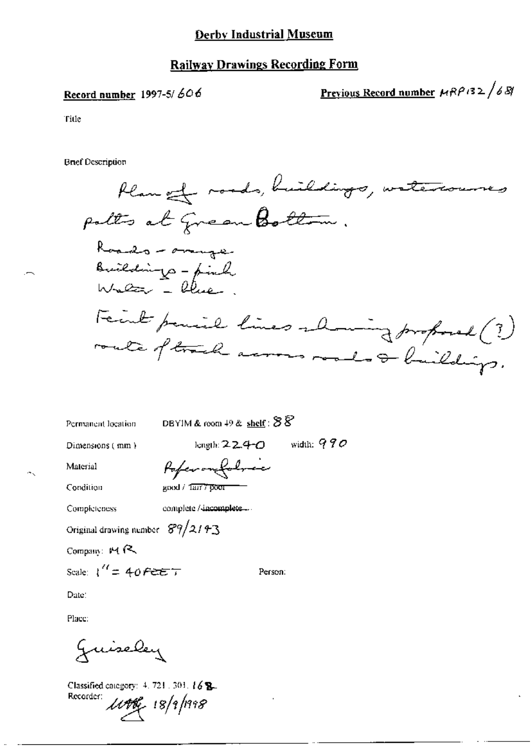#### **Railway Drawings Recording Form**

#### Record number 1997-5/ $606$

<u>Previous Record number</u>  $\mu$ RP132/681

Title

**Brief Description** 

Plan et roads, buildings, watercourses polts at grean Bottom. Roads - omige Buildings - find Fecut parise lines alming proposed (?) route of track across roads & buildings.

Permanent location

DBYIM & room  $49$  & shelf:  $88$ 

Dimensions (min.)

length:  $224-0$  width:  $990$ 

Person:

Material Condition

Poferombolnic good / Tarr 7 poor

Completeness

complete / incomplete....

Original drawing number  $89/2143$ 

Company:  $M R$ 

Scale:  $1'' = 40$  FEET

Date:

Place:

Juiseley

Classified category: 4, 721, 303, 16 B. Recorder:

1146 18/9/1998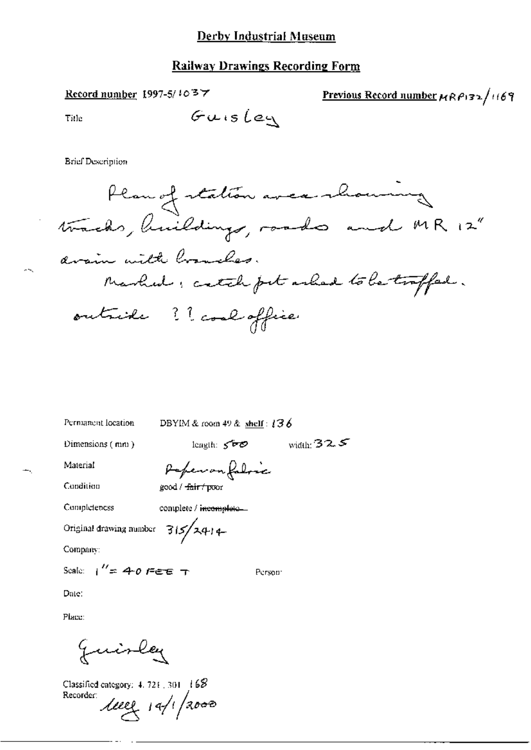### **Railway Drawings Recording Form**

Record number 1997-5/1037

Previous Record number  $\mu$ RP132/1169

Title

Guisley

**Brief Description** 



Person<sup>-</sup>

Permanent location

DBYIM & room 49 & shelf:  $136$ 

Dimensions (mm)

 $length: 500$ 

width:  $32.5$ 

Material Condition

Perferangaloic good / <del>fair / po</del>or

Completeness

complete / incomplete...

Original drawing number  $3/5/24$ 

Company:

Scale:  $1'' = 40$  Fee T

Date:

Place:

Juisley

Classified category: 4, 721, 301 168 Recorder:

 $1002 + 19/12000$